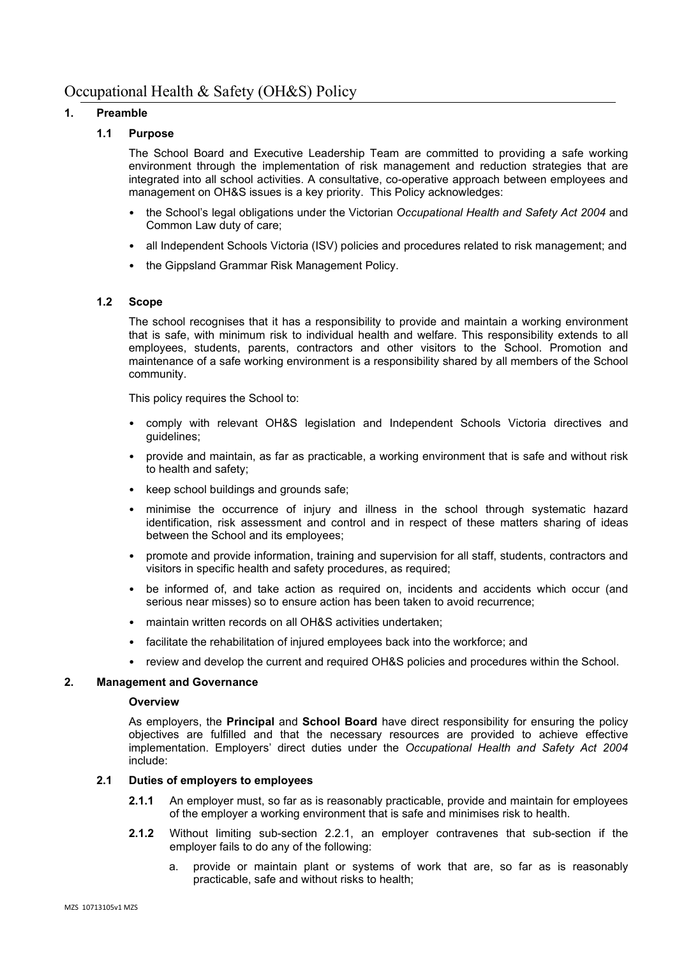# **1. Preamble**

# **1.1 Purpose**

The School Board and Executive Leadership Team are committed to providing a safe working environment through the implementation of risk management and reduction strategies that are integrated into all school activities. A consultative, co-operative approach between employees and management on OH&S issues is a key priority. This Policy acknowledges:

- the School's legal obligations under the Victorian *Occupational Health and Safety Act 2004* and Common Law duty of care;
- all Independent Schools Victoria (ISV) policies and procedures related to risk management; and
- the Gippsland Grammar Risk Management Policy.

### **1.2 Scope**

The school recognises that it has a responsibility to provide and maintain a working environment that is safe, with minimum risk to individual health and welfare. This responsibility extends to all employees, students, parents, contractors and other visitors to the School. Promotion and maintenance of a safe working environment is a responsibility shared by all members of the School community.

This policy requires the School to:

- comply with relevant OH&S legislation and Independent Schools Victoria directives and guidelines;
- provide and maintain, as far as practicable, a working environment that is safe and without risk to health and safety;
- keep school buildings and grounds safe;
- minimise the occurrence of injury and illness in the school through systematic hazard identification, risk assessment and control and in respect of these matters sharing of ideas between the School and its employees;
- promote and provide information, training and supervision for all staff, students, contractors and visitors in specific health and safety procedures, as required;
- be informed of, and take action as required on, incidents and accidents which occur (and serious near misses) so to ensure action has been taken to avoid recurrence;
- maintain written records on all OH&S activities undertaken;
- facilitate the rehabilitation of injured employees back into the workforce; and
- review and develop the current and required OH&S policies and procedures within the School.

### **2. Management and Governance**

### **Overview**

As employers, the **Principal** and **School Board** have direct responsibility for ensuring the policy objectives are fulfilled and that the necessary resources are provided to achieve effective implementation. Employers' direct duties under the *Occupational Health and Safety Act 2004* include:

### **2.1 Duties of employers to employees**

- **2.1.1** An employer must, so far as is reasonably practicable, provide and maintain for employees of the employer a working environment that is safe and minimises risk to health.
- **2.1.2** Without limiting sub-section 2.2.1, an employer contravenes that sub-section if the employer fails to do any of the following:
	- a. provide or maintain plant or systems of work that are, so far as is reasonably practicable, safe and without risks to health;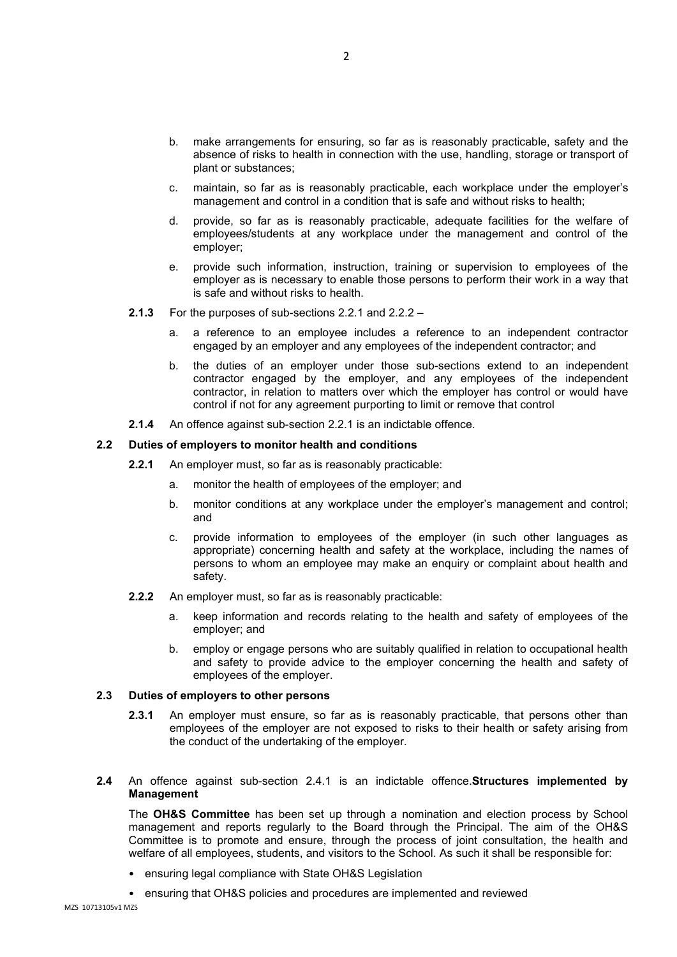- b. make arrangements for ensuring, so far as is reasonably practicable, safety and the absence of risks to health in connection with the use, handling, storage or transport of plant or substances;
- c. maintain, so far as is reasonably practicable, each workplace under the employer's management and control in a condition that is safe and without risks to health;
- d. provide, so far as is reasonably practicable, adequate facilities for the welfare of employees/students at any workplace under the management and control of the employer;
- e. provide such information, instruction, training or supervision to employees of the employer as is necessary to enable those persons to perform their work in a way that is safe and without risks to health.
- **2.1.3** For the purposes of sub-sections 2.2.1 and 2.2.2
	- a. a reference to an employee includes a reference to an independent contractor engaged by an employer and any employees of the independent contractor; and
	- b. the duties of an employer under those sub-sections extend to an independent contractor engaged by the employer, and any employees of the independent contractor, in relation to matters over which the employer has control or would have control if not for any agreement purporting to limit or remove that control
- **2.1.4** An offence against sub-section 2.2.1 is an indictable offence.

#### **2.2 Duties of employers to monitor health and conditions**

- **2.2.1** An employer must, so far as is reasonably practicable:
	- a. monitor the health of employees of the employer; and
	- b. monitor conditions at any workplace under the employer's management and control; and
	- c. provide information to employees of the employer (in such other languages as appropriate) concerning health and safety at the workplace, including the names of persons to whom an employee may make an enquiry or complaint about health and safety.
- **2.2.2** An employer must, so far as is reasonably practicable:
	- a. keep information and records relating to the health and safety of employees of the employer; and
	- b. employ or engage persons who are suitably qualified in relation to occupational health and safety to provide advice to the employer concerning the health and safety of employees of the employer.

#### **2.3 Duties of employers to other persons**

- **2.3.1** An employer must ensure, so far as is reasonably practicable, that persons other than employees of the employer are not exposed to risks to their health or safety arising from the conduct of the undertaking of the employer.
- **2.4** An offence against sub-section 2.4.1 is an indictable offence.**Structures implemented by Management**

The **OH&S Committee** has been set up through a nomination and election process by School management and reports regularly to the Board through the Principal. The aim of the OH&S Committee is to promote and ensure, through the process of joint consultation, the health and welfare of all employees, students, and visitors to the School. As such it shall be responsible for:

- ensuring legal compliance with State OH&S Legislation
- ensuring that OH&S policies and procedures are implemented and reviewed